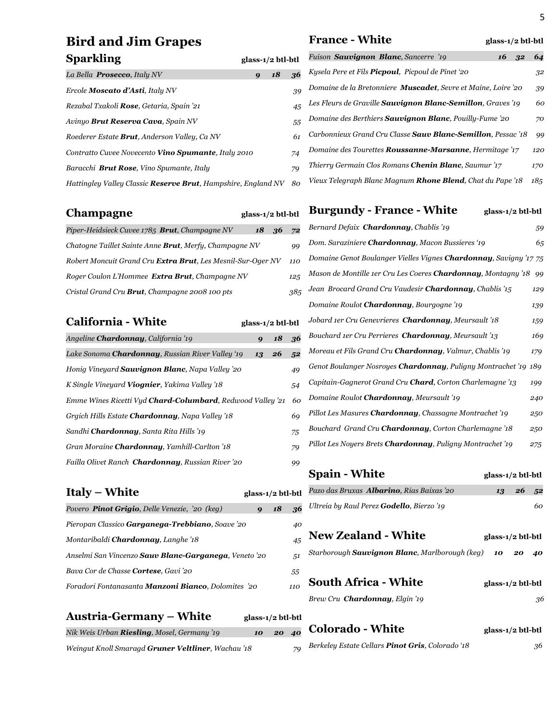# **Bird and Jim Grapes Sparkling glass-1/2 btl-bt**

| La Bella <b>Prosecco</b> , Italy NV                                   | 9 | 18 | 36. |
|-----------------------------------------------------------------------|---|----|-----|
| Ercole <b>Moscato d'Asti</b> , Italy NV                               |   |    | 39  |
| Rezabal Txakoli <b>Rose</b> , Getaria, Spain '21                      |   |    | 45  |
| Avinyo <b>Brut Reserva Cava</b> , Spain NV                            |   |    | 55  |
| Roederer Estate <b>Brut</b> , Anderson Valley, Ca NV                  |   |    | 61  |
| Contratto Cuvee Novecento <b>Vino Spumante</b> , Italy 2010           |   |    | 74  |
| Baracchi <b>Brut Rose</b> , Vino Spumante, Italy                      |   |    | 79  |
| Hattingley Valley Classic <b>Reserve Brut</b> , Hampshire, England NV |   |    | 80  |

| Champagne                                                      | glass-1/2 btl-btl |       |     |
|----------------------------------------------------------------|-------------------|-------|-----|
| Piper-Heidsieck Cuvee 1785 Brut, Champagne NV                  |                   | 18 36 | 72  |
| Chatogne Taillet Sainte Anne <b>Brut</b> , Merfy, Champagne NV |                   |       | 99  |
| Robert Moncuit Grand Cru Extra Brut, Les Mesnil-Sur-Oger NV    |                   |       | 110 |
| Roger Coulon L'Hommee Extra Brut, Champagne NV                 |                   |       | 125 |
| Cristal Grand Cru Brut, Champagne 2008 100 pts                 |                   |       | 385 |

# **California - White glass-1/2 btl-btl**

| Angeline <b>Chardonnay</b> , California '19                        | $\boldsymbol{Q}$ | 18 | 36 |
|--------------------------------------------------------------------|------------------|----|----|
| Lake Sonoma <b>Chardonnay</b> , Russian River Valley '19           | 13               | 26 | 52 |
| Honig Vineyard <b>Sauvignon Blanc</b> , Napa Valley '20            |                  |    | 49 |
| K Single Vineyard Viognier, Yakima Valley '18                      |                  |    | 54 |
| Emme Wines Ricetti Vyd <b>Chard-Columbard</b> , Redwood Valley '21 |                  |    | 60 |
| Grgich Hills Estate Chardonnay, Napa Valley '18                    |                  |    | 69 |
| Sandhi <b>Chardonnay</b> , Santa Rita Hills '19                    |                  |    | 75 |
| Gran Moraine <b>Chardonnay</b> , Yamhill-Carlton '18               |                  |    | 79 |
| Failla Olivet Ranch <b>Chardonnay</b> , Russian River '20          |                  |    | 99 |

| <b>Italy – White</b>                                               | glass-1/2 btl-btl |    |     |
|--------------------------------------------------------------------|-------------------|----|-----|
| Povero <b>Pinot Grigio</b> , Delle Venezie, '20 (keg)              | 9                 | 18 | 36. |
| Pieropan Classico <b>Garganega-Trebbiano</b> , Soave '20           |                   |    | 40  |
| Montaribaldi <b>Chardonnay</b> , Langhe '18                        |                   |    | 45  |
| Anselmi San Vincenzo <b>Sauv Blanc-Garganega</b> , Veneto '20      |                   |    | 51  |
| Bava Cor de Chasse <b>Cortese</b> , Gavi '20                       |                   |    | 55  |
| Foradori Fontanasanta <b>Manzoni Bianco</b> , Dolomites <i>'20</i> |                   |    | 110 |

#### **Austria-Germany – White glass-1/2 btl-btl**

| Nik Weis Urban <b>Riesling</b> , Mosel, Germany '19 | 10 20 40 |  |
|-----------------------------------------------------|----------|--|
|                                                     |          |  |

*Weingut Knoll Smaragd Gruner Veltliner, Wachau '18 79* 

#### **France - White** glass-1/2 btl-btl

| ۲I                       | Fuison <b>Sauvignon Blanc</b> , Sancerre '19                          | 16 | 32 | 64  |
|--------------------------|-----------------------------------------------------------------------|----|----|-----|
| $\mathbf{6}$             | Kysela Pere et Fils <b>Picpoul</b> , Picpoul de Pinet '20             |    |    | 32  |
| ξÓ                       | Domaine de la Bretonniere <b>Muscadet</b> , Sevre et Maine, Loire '20 |    |    | 39  |
| 15                       | Les Fleurs de Graville <b>Sauvignon Blanc-Semillon</b> , Graves '19   |    |    | 60  |
| 5.5                      | Domaine des Berthiers <b>Sauvignon Blanc</b> , Pouilly-Fume '20       |    |    | 70  |
| 51                       | Carbonnieux Grand Cru Classe <b>Sauv Blanc-Semillon</b> , Pessac '18  |    |    | 99  |
| $\overline{\mathcal{A}}$ | Domaine des Tourettes <b>Roussanne-Marsanne</b> , Hermitage '17       |    |    | 120 |
| q                        | Thierry Germain Clos Romans <b>Chenin Blanc</b> , Saumur '17          |    |    | 170 |
| $\Omega$                 | Vieux Telegraph Blanc Magnum <b>Rhone Blend</b> , Chat du Pape '18    |    |    | 185 |

#### **Burgundy - France - White glass-1/2 btl-btl**

| Bernard Defaix <b>Chardonnay</b> , Chablis '19                            | 59  |
|---------------------------------------------------------------------------|-----|
| Dom. Saraziniere <b>Chardonnay</b> , Macon Bussieres '19                  | 65  |
| Domaine Genot Boulanger Vielles Vignes <b>Chardonnay</b> , Savigny '17 75 |     |
| Mason de Montille 1er Cru Les Coeres <b>Chardonnay</b> , Montagny '18     | 99  |
| Jean Brocard Grand Cru Vaudesir <b>Chardonnay</b> , Chablis '15           | 129 |
| Domaine Roulot Chardonnay, Bourgogne '19                                  | 139 |
| Jobard 1er Cru Genevrieres Chardonnay, Meursault '18                      | 159 |
| Bouchard 1er Cru Perrieres <b>Chardonnay</b> , Meursault '13              | 169 |
| Moreau et Fils Grand Cru <b>Chardonnay</b> , Valmur, Chablis '19          | 179 |
| Genot Boulanger Nosroyes <b>Chardonnay</b> , Puligny Montrachet '19 189   |     |
| Capitain-Gagnerot Grand Cru <b>Chard</b> , Corton Charlemagne '13         | 199 |
| Domaine Roulot <b>Chardonnay</b> , Meursault '19                          | 240 |
| Pillot Les Masures <b>Chardonnay</b> , Chassagne Montrachet '19           | 250 |
| Bouchard Grand Cru <b>Chardonnay</b> , Corton Charlemagne '18             | 250 |
| Pillot Les Noyers Brets <b>Chardonnay</b> , Puligny Montrachet '19        | 275 |
|                                                                           |     |
| <b>Spain - White</b><br>glass-1/2 btl-btl                                 |     |
|                                                                           |     |

# *Pazo das Bruxas Albarino, Rias Baixas '20 13 26 52 Ultreia by Raul Perez Godello, Bierzo '19 60* **New Zealand - White** glass-1/2 btl-btl *Starborough Sauvignon Blanc, Marlborough (keg) 10 20 40* **South Africa - White glass-1/2 btl-btl** *Brew Cru Chardonnay, Elgin '19 36*

**Colorado - White glass-1/2 btl-btl** *Berkeley Estate Cellars Pinot Gris, Colorado '18 36*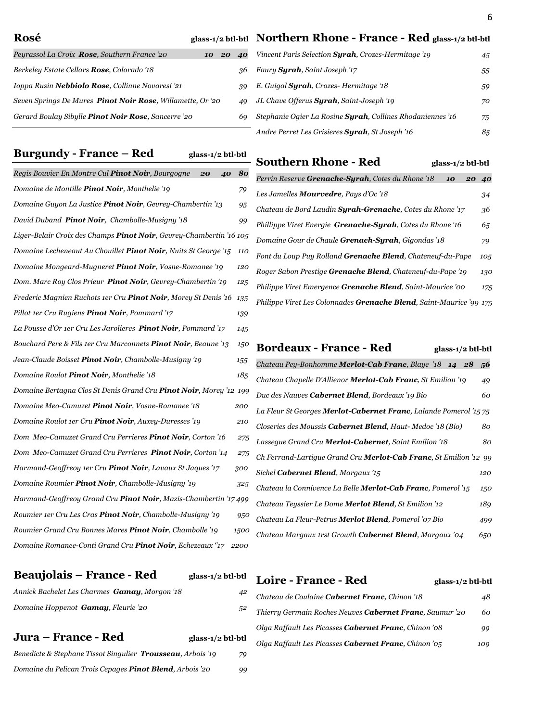| Rosé | glass-1/2 btl-btl Northern Rhone - France - Red glass-1/2 btl-btl |  |  |
|------|-------------------------------------------------------------------|--|--|
|      |                                                                   |  |  |

| Peyrassol La Croix <b>Rose</b> , Southern France '20               | 10 20 | 40  |
|--------------------------------------------------------------------|-------|-----|
| Berkeley Estate Cellars <b>Rose</b> , Colorado '18                 |       | 36  |
| Ioppa Rusin <b>Nebbiolo Rose.</b> Collinne Novaresi '21            |       | 39  |
| Seven Springs De Mures <b>Pinot Noir Rose</b> , Willamette, Or '20 |       | 49  |
| Gerard Boulay Sibylle <b>Pinot Noir Rose</b> , Sancerre '20        |       | 69. |
|                                                                    |       |     |

#### **Burgundy - France – Red glass-1/2 btl-btl**

| Regis Bouvier En Montre Cul Pinot Noir, Bourgogne<br>20<br>40          | 80   |
|------------------------------------------------------------------------|------|
| Domaine de Montille Pinot Noir, Monthelie '19                          | 79   |
| Domaine Guyon La Justice Pinot Noir, Gevrey-Chambertin '13             | 95   |
| David Duband Pinot Noir, Chambolle-Musigny '18                         | 99   |
| Liger-Belair Croix des Champs Pinot Noir, Gevrey-Chambertin '16 105    |      |
| Domaine Lecheneaut Au Chouillet Pinot Noir, Nuits St George '15        | 110  |
| Domaine Mongeard-Mugneret Pinot Noir, Vosne-Romanee '19                | 120  |
| Dom. Marc Roy Clos Prieur Pinot Noir, Gevrey-Chambertin'19             | 125  |
| Frederic Magnien Ruchots 1er Cru Pinot Noir, Morey St Denis '16        | 135  |
| Pillot 1er Cru Rugiens <b>Pinot Noir</b> , Pommard '17                 | 139  |
| La Pousse d'Or 1er Cru Les Jarolieres Pinot Noir, Pommard '17          | 145  |
| Bouchard Pere & Fils 1er Cru Marconnets <b>Pinot Noir</b> , Beaune '13 | 150  |
| Jean-Claude Boisset <b>Pinot Noir</b> , Chambolle-Musigny '19          | 155  |
| Domaine Roulot Pinot Noir, Monthelie '18                               | 185  |
| Domaine Bertagna Clos St Denis Grand Cru Pinot Noir, Morey '12 199     |      |
| Domaine Meo-Camuzet Pinot Noir, Vosne-Romanee '18                      | 200  |
| Domaine Roulot 1er Cru Pinot Noir, Auxey-Duresses '19                  | 210  |
| Dom Meo-Camuzet Grand Cru Perrieres Pinot Noir, Corton '16             | 275  |
| Dom Meo-Camuzet Grand Cru Perrieres <b>Pinot Noir</b> , Corton '14     | 275  |
| Harmand-Geoffreoy 1er Cru Pinot Noir, Lavaux St Jaques '17             | 300  |
| Domaine Roumier <b>Pinot Noir</b> , Chambolle-Musigny '19              | 325  |
| Harmand-Geoffreoy Grand Cru Pinot Noir, Mazis-Chambertin '17 499       |      |
| Roumier 1er Cru Les Cras <b>Pinot Noir</b> , Chambolle-Musigny '19     | 950  |
| Roumier Grand Cru Bonnes Mares Pinot Noir, Chambolle '19               | 1500 |
| Domaine Romanee-Conti Grand Cru Pinot Noir, Echezeaux °17              | 2200 |

#### **Beaujolais – France - Red glass-1/2 btl-btl**

| Annick Bachelet Les Charmes <b>Gamay</b> , Morgon '18 | 42 |
|-------------------------------------------------------|----|
| Domaine Hoppenot <b>Gamay</b> , Fleurie '20           | 52 |

### **Jura – France - Red glass-1/2 btl-btl**

| Benedicte & Stephane Tissot Singulier <b>Trousseau</b> , Arbois '19 | 79 |
|---------------------------------------------------------------------|----|
| Domaine du Pelican Trois Cepages <b>Pinot Blend</b> , Arbois '20    | 99 |

| Vincent Paris Selection <b>Surah</b> , Crozes-Hermitage '19        | 45 |
|--------------------------------------------------------------------|----|
| Faury <b>Syrah</b> , Saint Joseph '17                              | 55 |
| E. Guigal <b>Syrah</b> , Crozes-Hermitage '18                      | 59 |
| JL Chave Offerus <b>Surah</b> , Saint-Joseph '19                   | 70 |
| Stephanie Ogier La Rosine <b>Syrah</b> , Collines Rhodaniennes '16 | 75 |
| Andre Perret Les Grisieres Syrah, St Joseph '16                    | 85 |
|                                                                    |    |

#### **Southern Rhone - Red** glass-1/2 btl-btl

*Perrin Reserve Grenache-Syrah, Cotes du Rhone '18 10 20 40 Les Jamelles Mourvedre, Pays d'Oc '18 34 Chateau de Bord Laudin Syrah-Grenache, Cotes du Rhone '17 36 Phillippe Viret Energie Grenache-Syrah, Cotes du Rhone '16 65 Domaine Gour de Chaule Grenach-Syrah, Gigondas '18 79 Font du Loup Puy Rolland Grenache Blend, Chateneuf-du-Pape 105 Roger Sabon Prestige Grenache Blend, Chateneuf-du-Pape '19 130 Philippe Viret Emergence Grenache Blend, Saint-Maurice '00 175 Philippe Viret Les Colonnades Grenache Blend, Saint-Maurice '99 175*

| <b>Bordeaux - France - Red</b><br>glass-1/2 btl-btl                       |     |
|---------------------------------------------------------------------------|-----|
| Chateau Pey-Bonhomme Merlot-Cab Franc, Blaye '18 14 28                    | .56 |
| Chateau Chapelle D'Allienor Merlot-Cab Franc, St Emilion '19              | 49  |
| Duc des Nauves Cabernet Blend, Bordeaux '19 Bio                           | 60  |
| La Fleur St Georges <b>Merlot-Cabernet Franc</b> , Lalande Pomerol '15 75 |     |
| Closeries des Moussis <b>Cabernet Blend.</b> Haut- Medoc '18 (Bio)        | 80  |
| Lasseque Grand Cru <b>Merlot-Cabernet</b> , Saint Emilion '18             | 80  |
| Ch Ferrand-Lartigue Grand Cru Merlot-Cab Franc, St Emilion '12 99         |     |
| Sichel <b>Cabernet Blend</b> , Margaux '15                                | 120 |
| Chateau la Connivence La Belle <b>Merlot-Cab Franc</b> , Pomerol '15      | 150 |
| Chateau Teyssier Le Dome <b>Merlot Blend</b> , St Emilion '12             | 189 |
| Chateau La Fleur-Petrus <b>Merlot Blend</b> , Pomerol '07 Bio             | 499 |
| Chateau Margaux 1rst Growth <b>Cabernet Blend</b> , Margaux '04           | 650 |
|                                                                           |     |

# **Loire - France - Red glass-1/2 btl-btl** *Chateau de Coulaine Cabernet Franc, Chinon '18 48 Thierry Germain Roches Neuves Cabernet Franc, Saumur '20 60 Olga Raffault Les Picasses Cabernet Franc, Chinon '08 99 Olga Raffault Les Picasses Cabernet Franc, Chinon '05 109*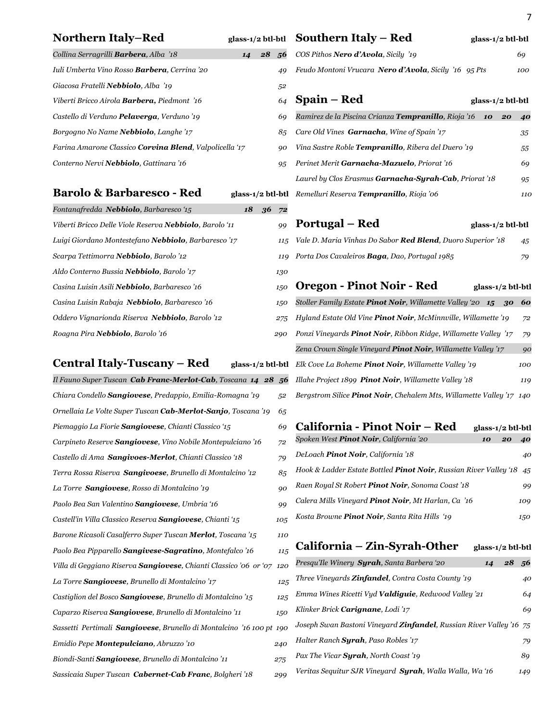# **Northern Italy–Red**

| glass-1/2 btl-btl $\,$ Southern Italy – R |  |  |  |
|-------------------------------------------|--|--|--|
|-------------------------------------------|--|--|--|

| <b>Northern Italy-Red</b>                                             |    | glass-1/2 btl-btl | Southern Italy - Red                                                        | glass-1/2 btl-btl |
|-----------------------------------------------------------------------|----|-------------------|-----------------------------------------------------------------------------|-------------------|
| Collina Serragrilli Barbera, Alba '18                                 | 14 | 28<br>.56         | COS Pithos Nero d'Avola, Sicily '19                                         | 69                |
| Iuli Umberta Vino Rosso <b>Barbera</b> , Cerrina '20                  |    | 49                | Feudo Montoni Vrucara Nero d'Avola, Sicily '16 95 Pts                       | 100               |
| Giacosa Fratelli Nebbiolo, Alba '19                                   |    | 52                |                                                                             |                   |
| Viberti Bricco Airola <b>Barbera</b> , Piedmont '16                   |    | 64                | Spain – Red                                                                 | glass-1/2 btl-btl |
| Castello di Verduno <b>Pelaverga</b> , Verduno '19                    |    | 69                | Ramirez de la Piscina Crianza <b>Tempranillo</b> , Rioja '16                | 10<br>20<br>40    |
| Borgogno No Name Nebbiolo, Langhe '17                                 |    | 85                | Care Old Vines Garnacha, Wine of Spain '17                                  | 35                |
| Farina Amarone Classico <b>Corvina Blend</b> , Valpolicella '17       |    | 90                | Vina Sastre Roble Tempranillo, Ribera del Duero '19                         | 55                |
| Conterno Nervi Nebbiolo, Gattinara '16                                |    | 95                | Perinet Merit Garnacha-Mazuelo, Priorat '16                                 | 69                |
|                                                                       |    |                   | Laurel by Clos Erasmus Garnacha-Syrah-Cab, Priorat '18                      | 95                |
| <b>Barolo &amp; Barbaresco - Red</b>                                  |    |                   | glass-1/2 btl-btl Remelluri Reserva Tempranillo, Rioja '06                  | 110               |
| Fontanafredda Nebbiolo, Barbaresco '15                                | 18 | 36<br>72          |                                                                             |                   |
| Viberti Bricco Delle Viole Reserva Nebbiolo, Barolo '11               |    | 99                | Portugal – Red                                                              | glass-1/2 btl-btl |
| Luigi Giordano Montestefano Nebbiolo, Barbaresco '17                  |    | 115               | Vale D. Maria Vinhas Do Sabor Red Blend, Duoro Superior '18                 | 45                |
| Scarpa Tettimorra Nebbiolo, Barolo '12                                |    | 119               | Porta Dos Cavaleiros Baga, Dao, Portugal 1985                               | 79                |
| Aldo Conterno Bussia Nebbiolo, Barolo '17                             |    | 130               |                                                                             |                   |
| Casina Luisin Asili Nebbiolo, Barbaresco '16                          |    | 150               | <b>Oregon - Pinot Noir - Red</b>                                            | glass-1/2 btl-btl |
| Casina Luisin Rabaja Nebbiolo, Barbaresco '16                         |    | 150               | Stoller Family Estate <b>Pinot Noir</b> , Willamette Valley '20 <b>15</b>   | 60<br>30          |
| Oddero Vignarionda Riserva Nebbiolo, Barolo '12                       |    | 275               | Hyland Estate Old Vine <b>Pinot Noir</b> , McMinnville, Willamette '19      | 72                |
| Roagna Pira Nebbiolo, Barolo '16                                      |    | 290               | Ponzi Vineyards Pinot Noir, Ribbon Ridge, Willamette Valley '17             | 79                |
|                                                                       |    |                   | Zena Crown Single Vineyard <b>Pinot Noir</b> , Willamette Valley '17        | 90                |
| Central Italy-Tuscany – Red                                           |    |                   | glass-1/2 btl-btl Elk Cove La Boheme Pinot Noir, Willamette Valley '19      | 100               |
| Il Fauno Super Tuscan Cab Franc-Merlot-Cab, Toscana 14 28 56          |    |                   | Illahe Project 1899 Pinot Noir, Willamette Valley '18                       | 119               |
| Chiara Condello Sangiovese, Predappio, Emilia-Romagna '19             |    | 52                | Bergstrom Silice Pinot Noir, Chehalem Mts, Willamette Valley '17 140        |                   |
| Ornellaia Le Volte Super Tuscan Cab-Merlot-Sanjo, Toscana '19         |    | 65                |                                                                             |                   |
| Piemaggio La Fiorie Sangiovese, Chianti Classico '15                  |    | 69                | California - Pinot Noir - Red                                               | glass-1/2 btl-btl |
| Carpineto Reserve Sangiovese, Vino Nobile Montepulciano '16           |    | 72                | Spoken West <b>Pinot Noir</b> , California '20                              | 10<br>20<br>40    |
| Castello di Ama Sangivoes-Merlot, Chianti Classico '18                |    | 79                | DeLoach Pinot Noir, California '18                                          | 40                |
| Terra Rossa Riserva Sangivoese, Brunello di Montalcino '12            |    | 85                | Hook & Ladder Estate Bottled Pinot Noir, Russian River Valley '18 45        |                   |
| La Torre Sangiovese, Rosso di Montalcino '19                          |    | 90                | Raen Royal St Robert Pinot Noir, Sonoma Coast'18                            | 99                |
| Paolo Bea San Valentino Sangiovese, Umbria '16                        |    | 99                | Calera Mills Vineyard Pinot Noir, Mt Harlan, Ca '16                         | 109               |
| Castell'in Villa Classico Reserva Sangiovese, Chianti '15             |    | 105               | Kosta Browne Pinot Noir, Santa Rita Hills '19                               | 150               |
| Barone Ricasoli Casalferro Super Tuscan Merlot, Toscana '15           |    | 110               |                                                                             |                   |
| Paolo Bea Pipparello Sangivese-Sagratino, Montefalco '16              |    | 115               | California - Zin-Syrah-Other                                                | glass-1/2 btl-btl |
| Villa di Geggiano Riserva Sangiovese, Chianti Classico '06 or '07 120 |    |                   | Presqu'Ile Winery Syrah, Santa Barbera '20                                  | 28<br>14<br>-56   |
| La Torre Sangiovese, Brunello di Montalcino '17                       |    | 125               | Three Vineyards <b>Zinfandel</b> , Contra Costa County '19                  | 40                |
| Castiglion del Bosco Sangiovese, Brunello di Montalcino '15           |    | 125               | Emma Wines Ricetti Vyd Valdiguie, Redwood Valley '21                        | 64                |
| Caparzo Riserva Sangiovese, Brunello di Montalcino '11                |    | 150               | Klinker Brick Carignane, Lodi '17                                           | 69                |
| Sassetti Pertimali Sangiovese, Brunello di Montalcino '16 100 pt 190  |    |                   | Joseph Swan Bastoni Vineyard <b>Zinfandel</b> , Russian River Valley '16 75 |                   |
| Emidio Pepe Montepulciano, Abruzzo '10                                |    | 240               | Halter Ranch Syrah, Paso Robles '17                                         | 79                |
| Biondi-Santi Sangiovese, Brunello di Montalcino '11                   |    | 275               | Pax The Vicar Syrah, North Coast '19                                        | 89                |
| Sassicaia Super Tuscan Cabernet-Cab Franc, Bolgheri'18                |    | 299               | Veritas Sequitur SJR Vineyard Syrah, Walla Walla, Waʻ16                     | 149               |

| <b>Barolo &amp; Barbaresco - Red</b> | glass-1/2 btl-btl |
|--------------------------------------|-------------------|
|                                      |                   |

| Fontanafredda <b>Nebbiolo</b> , Barbaresco '15          | 18 | 36 | 72  |
|---------------------------------------------------------|----|----|-----|
| Viberti Bricco Delle Viole Reserva Nebbiolo, Barolo '11 |    |    | 99  |
| Luigi Giordano Montestefano Nebbiolo, Barbaresco '17    |    |    | 115 |
| Scarpa Tettimorra <b>Nebbiolo</b> , Barolo '12          |    |    | 119 |
| Aldo Conterno Bussia <b>Nebbiolo</b> , Barolo '17       |    |    | 130 |
| Casina Luisin Asili Nebbiolo, Barbaresco '16            |    |    | 150 |
| Casina Luisin Rabaja Nebbiolo, Barbaresco '16           |    |    | 150 |
| Oddero Vignarionda Riserva Nebbiolo, Barolo '12         |    |    | 275 |
| Roagna Pira Nebbiolo, Barolo '16                        |    |    | 290 |

# **Central Italy-Tuscany – Red** g

| Il Fauno Super Tuscan <b>Cab Franc-Merlot-Cab</b> , Toscana 14 28            | 56  |
|------------------------------------------------------------------------------|-----|
| Chiara Condello <b>Sangiovese</b> , Predappio, Emilia-Romagna '19            | 52  |
| Ornellaia Le Volte Super Tuscan Cab-Merlot-Sanjo, Toscana '19                | 65  |
| Piemaggio La Fiorie <b>Sangiovese</b> , Chianti Classico '15                 | 69  |
| Carpineto Reserve <b>Sangiovese</b> , Vino Nobile Montepulciano '16          | 72  |
| Castello di Ama Sangivoes-Merlot, Chianti Classico '18                       | 79  |
| Terra Rossa Riserva Sangivoese, Brunello di Montalcino '12                   | 85  |
| La Torre Sangiovese, Rosso di Montalcino '19                                 | 90  |
| Paolo Bea San Valentino <b>Sangiovese</b> , Umbria '16                       | 99  |
| Castell'in Villa Classico Reserva <b>Sangiovese</b> , Chianti '15            | 105 |
| Barone Ricasoli Casalferro Super Tuscan <b>Merlot</b> , Toscana '15          | 110 |
| Paolo Bea Pipparello Sangivese-Sagratino, Montefalco '16                     | 115 |
| Villa di Geggiano Riserva Sangiovese, Chianti Classico '06 or '07            | 120 |
| La Torre <b>Sangiovese</b> , Brunello di Montalcino '17                      | 125 |
| Castiglion del Bosco <b>Sangiovese</b> , Brunello di Montalcino '15          | 125 |
| Caparzo Riserva <b>Sangiovese</b> , Brunello di Montalcino '11               | 150 |
| Sassetti Pertimali <b>Sangiovese</b> , Brunello di Montalcino '16 100 pt 190 |     |
| Emidio Pepe Montepulciano, Abruzzo '10                                       | 240 |
| Biondi-Santi Sangiovese, Brunello di Montalcino '11                          | 275 |
| Sassicaia Super Tuscan <b>Cabernet-Cab Franc</b> , Bolgheri '18              | 299 |